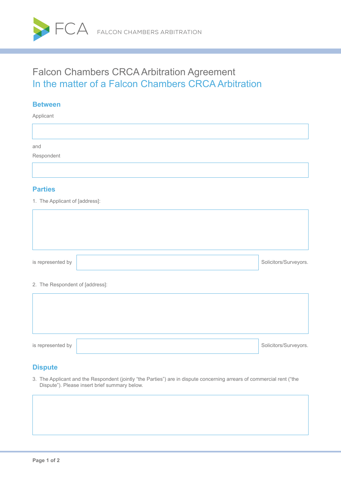

# Falcon Chambers CRCA Arbitration Agreement In the matter of a Falcon Chambers CRCA Arbitration

#### **Between**

Applicant

and

Respondent

#### **Parties**

1. The Applicant of [address]:

| is represented by | Solicitors/Surveyors. |
|-------------------|-----------------------|
|                   |                       |

#### 2. The Respondent of [address]:

| is represented by | Solicitors/Surveyors. |
|-------------------|-----------------------|

#### **Dispute**

3. The Applicant and the Respondent (jointly "the Parties") are in dispute concerning arrears of commercial rent ("the Dispute"). Please insert brief summary below.